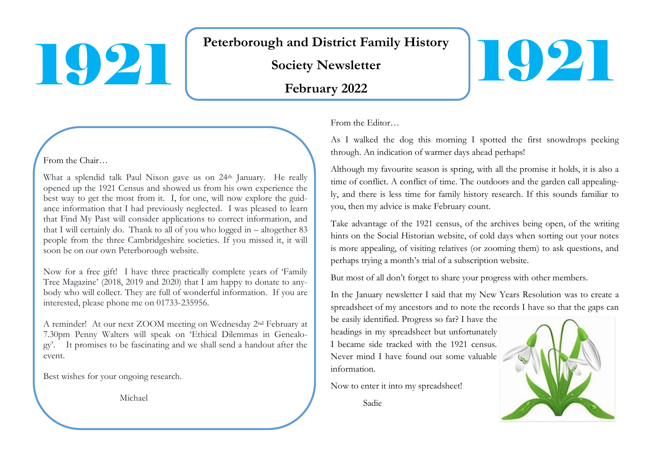# Society Newsletter<br>February 2022

# **Peterborough and District Family History**

#### From the Chair…

l

What a splendid talk Paul Nixon gave us on 24<sup>th</sup> January. He really opened up the 1921 Census and showed us from his own experience the best way to get the most from it. I, for one, will now explore the guidance information that I had previously neglected. I was pleased to learn that Find My Past will consider applications to correct information, and that I will certainly do. Thank to all of you who logged in  $-$  altogether 83 people from the three Cambridgeshire societies. If you missed it, it will soon be on our own Peterborough website.

Now for a free gift! I have three practically complete years of 'Family Tree Magazine' (2018, 2019 and 2020) that I am happy to donate to anybody who will collect. They are full of wonderful information. If you are interested, please phone me on 01733-235956.

A reminder! At our next ZOOM meeting on Wednesday 2nd February at 7.30pm Penny Walters will speak on 'Ethical Dilemmas in Genealogy'. It promises to be fascinating and we shall send a handout after the event.

Best wishes for your ongoing research.

Michael

From the Editor…

As I walked the dog this morning I spotted the first snowdrops peeking through. An indication of warmer days ahead perhaps!

Although my favourite season is spring, with all the promise it holds, it is also a time of conflict. A conflict of time. The outdoors and the garden call appealingly, and there is less time for family history research. If this sounds familiar to you, then my advice is make February count.

Take advantage of the 1921 census, of the archives being open, of the writing hints on the Social Historian website, of cold days when sorting out your notes is more appealing, of visiting relatives (or zooming them) to ask questions, and perhaps trying a month's trial of a subscription website.

But most of all don't forget to share your progress with other members.

In the January newsletter I said that my New Years Resolution was to create a spreadsheet of my ancestors and to note the records I have so that the gaps can

be easily identified. Progress so far? I have the headings in my spreadsheet but unfortunately I became side tracked with the 1921 census. Never mind I have found out some valuable information.

Now to enter it into my spreadsheet!

Sadie



1921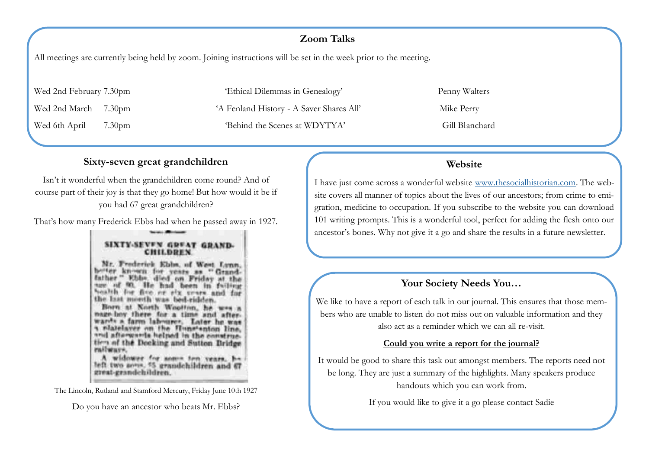## **Zoom Talks**

All meetings are currently being held by zoom. Joining instructions will be set in the week prior to the meeting.

Wed 2nd February 7.30pm 'Ethical Dilemmas in Genealogy' Penny Walters Wed 2nd March 7.30pm <sup>'A</sup> Fenland History - A Saver Shares All' Mike Perry Wed 6th April 7.30pm 'Behind the Scenes at WDYTYA' Gill Blanchard

## **Website**

I have just come across a wonderful website [www.thesocialhistorian.com.](https://www.thesocialhistorian.com/category/community/) The website covers all manner of topics about the lives of our ancestors; from crime to emigration, medicine to occupation. If you subscribe to the website you can download 101 writing prompts. This is a wonderful tool, perfect for adding the flesh onto our ancestor's bones. Why not give it a go and share the results in a future newsletter.

# **Your Society Needs You…**

We like to have a report of each talk in our journal. This ensures that those members who are unable to listen do not miss out on valuable information and they also act as a reminder which we can all re-visit.

#### **Could you write a report for the journal?**

It would be good to share this task out amongst members. The reports need not be long. They are just a summary of the highlights. Many speakers produce handouts which you can work from.

If you would like to give it a go please contact Sadie

### **Sixty-seven great grandchildren**

Isn't it wonderful when the grandchildren come round? And of course part of their joy is that they go home! But how would it be if you had 67 great grandchildren?

That's how many Frederick Ebbs had when he passed away in 1927.

#### SIXTY-SEVEN GREAT GRAND-**CHILDREN**

Mr. Frederick Kbbs, of West Lynn, butter known for years as "Grandfather " Ebby, died on Friday at the are of 90. He had been in failing bealth for five or six vesss and for the last month was bed-ridden. Born at North Wootton, he was a nage boy there for a time and afterwards a farm labourer. Later he was and afterwards helped in the constructien of the Decking and Sutton Bridge railways.

A widower for some ten years, he left two sens. 55 grandchildren and 67 great-grandchildren.

The Lincoln, Rutland and Stamford Mercury, Friday June 10th 1927

Do you have an ancestor who beats Mr. Ebbs?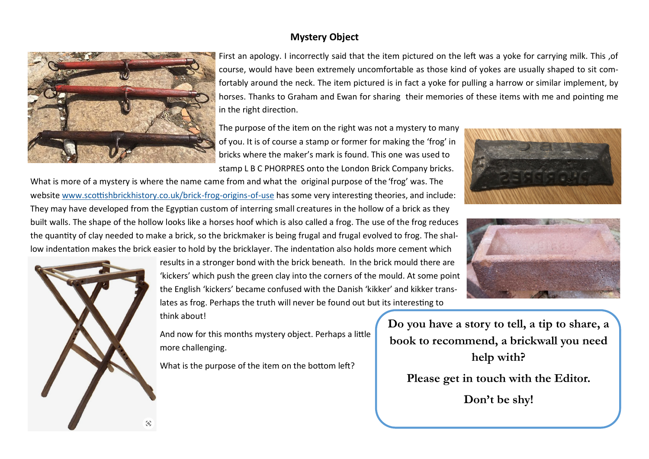### **Mystery Object**



First an apology. I incorrectly said that the item pictured on the left was a yoke for carrying milk. This ,of course, would have been extremely uncomfortable as those kind of yokes are usually shaped to sit comfortably around the neck. The item pictured is in fact a yoke for pulling a harrow or similar implement, by horses. Thanks to Graham and Ewan for sharing their memories of these items with me and pointing me in the right direction.

The purpose of the item on the right was not a mystery to many of you. It is of course a stamp or former for making the 'frog' in bricks where the maker's mark is found. This one was used to stamp L B C PHORPRES onto the London Brick Company bricks.

What is more of a mystery is where the name came from and what the original purpose of the 'frog' was. The website [www.scottishbrickhistory.co.uk/brick](https://www.scottishbrickhistory.co.uk/brick-frog-origins-of-use/)-frog-origins-of-use has some very interesting theories, and include: They may have developed from the Egyptian custom of interring small creatures in the hollow of a brick as they built walls. The shape of the hollow looks like a horses hoof which is also called a frog. The use of the frog reduces the quantity of clay needed to make a brick, so the brickmaker is being frugal and frugal evolved to frog. The shal-





results in a stronger bond with the brick beneath. In the brick mould there are 'kickers' which push the green clay into the corners of the mould. At some point the English 'kickers' became confused with the Danish 'kikker' and kikker translates as frog. Perhaps the truth will never be found out but its interesting to think about!

And now for this months mystery object. Perhaps a little more challenging.

What is the purpose of the item on the bottom left?

**Do you have a story to tell, a tip to share, a book to recommend, a brickwall you need help with?**

**Please get in touch with the Editor.**

**Don't be shy!**